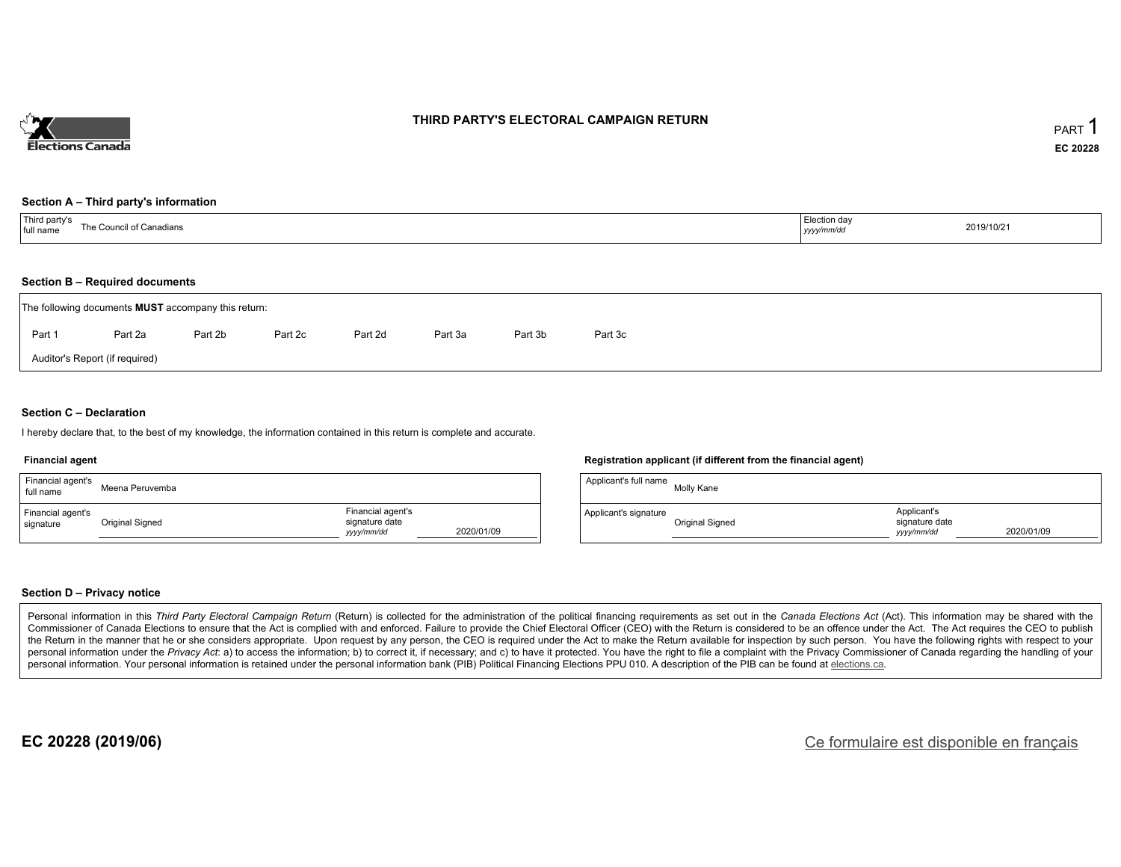

### **THIRD PARTY'S ELECTORAL CAMPAIGN RETURN**

#### **Section A – Third party's information**

| Third party's<br>The Council of Canadians<br>full name | Election day<br>2019/10/21<br>yyyy/mm/dd |  |
|--------------------------------------------------------|------------------------------------------|--|
|--------------------------------------------------------|------------------------------------------|--|

### **Section B – Required documents**

|        | The following documents <b>MUST</b> accompany this return: |         |         |         |         |         |         |
|--------|------------------------------------------------------------|---------|---------|---------|---------|---------|---------|
| Part 1 | Part 2a                                                    | Part 2b | Part 2c | Part 2d | Part 3a | Part 3b | Part 3c |
|        | Auditor's Report (if required)                             |         |         |         |         |         |         |

### **Section C – Declaration**

I hereby declare that, to the best of my knowledge, the information contained in this return is complete and accurate.

#### **Financial agent**

| Financial agent's<br>full name | Meena Peruvemba |                                                   |            | Applicant's full r |
|--------------------------------|-----------------|---------------------------------------------------|------------|--------------------|
| Financial agent's<br>signature | Original Signed | Financial agent's<br>signature date<br>yyyy/mm/dd | 2020/01/09 | Applicant's signa  |

#### **Registration applicant (if different from the financial agent)**

| Applicant's full name | Molly Kane             |                                             |            |
|-----------------------|------------------------|---------------------------------------------|------------|
| Applicant's signature | <b>Original Signed</b> | Applicant's<br>signature date<br>vyyy/mm/dd | 2020/01/09 |

### **Section D – Privacy notice**

Personal information in this Third Party Electoral Campaign Return (Return) is collected for the administration of the political financing requirements as set out in the Canada Elections Act (Act). This information may be Commissioner of Canada Elections to ensure that the Act is complied with and enforced. Failure to provide the Chief Electoral Officer (CEO) with the Return is considered to be an offence under the Act. The Act requires the the Return in the manner that he or she considers appropriate. Upon request by any person, the CEO is required under the Act to make the Return available for inspection by such person. You have the following rights with re personal information under the Privacy Act: a) to access the information; b) to correct it, if necessary; and c) to have it protected. You have the right to file a complaint with the Privacy Commissioner of Canada regardin personal information. Your personal information is retained under the personal information bank (PIB) Political Financing Elections PPU 010. A description of the PIB can be found at elections.ca.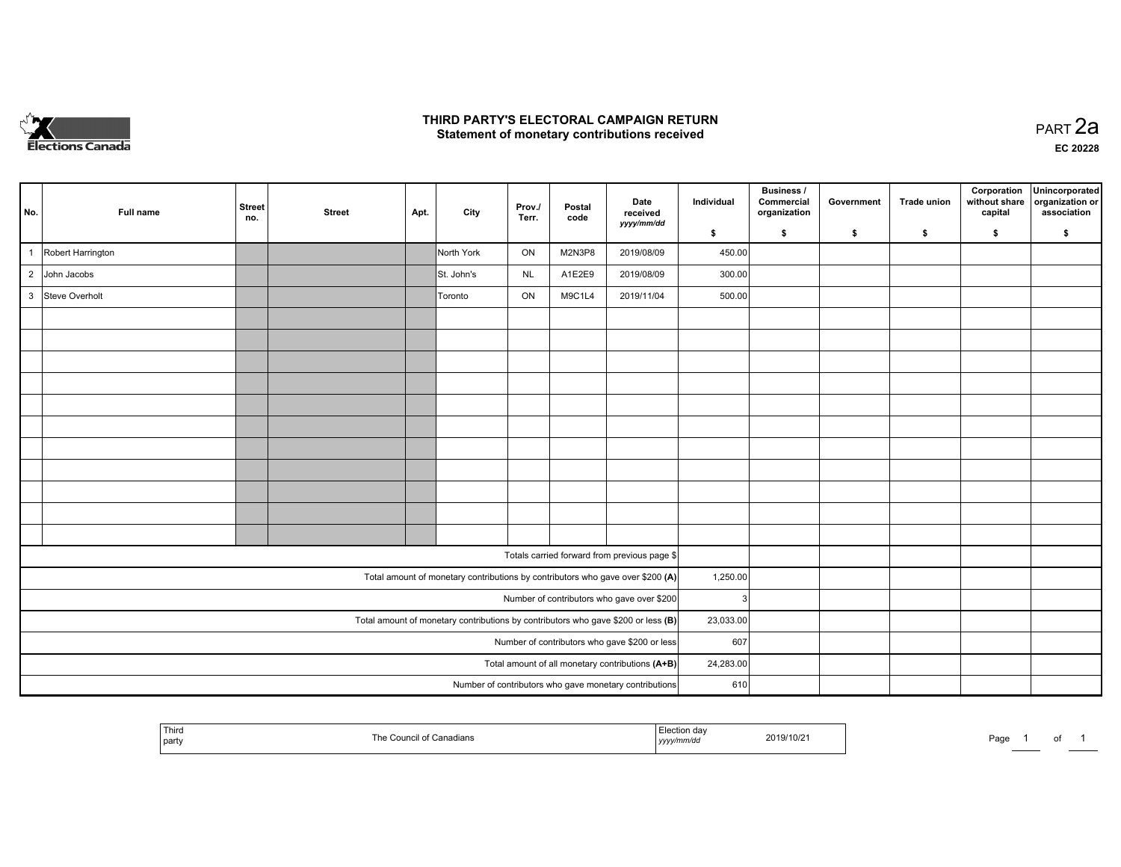

### **THIRD PARTY'S ELECTORAL CAMPAIGN RETURN HIRD PARTY'S ELECTORAL CAMPAIGN RETURN<br>Statement of monetary contributions received PART 2a PART 2a**

**EC 20228**

|                |                   |                      |               |      |            |                 |                |                                                                                   |            | Business /                 |            |                    | Corporation              | Unincorporated                 |
|----------------|-------------------|----------------------|---------------|------|------------|-----------------|----------------|-----------------------------------------------------------------------------------|------------|----------------------------|------------|--------------------|--------------------------|--------------------------------|
| No.            | Full name         | <b>Street</b><br>no. | <b>Street</b> | Apt. | City       | Prov./<br>Terr. | Postal<br>code | Date<br>received                                                                  | Individual | Commercial<br>organization | Government | <b>Trade union</b> | without share<br>capital | organization or<br>association |
|                |                   |                      |               |      |            |                 |                | yyyy/mm/dd                                                                        | \$         | s.                         | \$         | -S                 | \$                       | S.                             |
| $\overline{1}$ | Robert Harrington |                      |               |      | North York | ON              | M2N3P8         | 2019/08/09                                                                        | 450.00     |                            |            |                    |                          |                                |
| $\overline{2}$ | John Jacobs       |                      |               |      | St. John's | <b>NL</b>       | A1E2E9         | 2019/08/09                                                                        | 300.00     |                            |            |                    |                          |                                |
|                | 3 Steve Overholt  |                      |               |      | Toronto    | ON              | M9C1L4         | 2019/11/04                                                                        | 500.00     |                            |            |                    |                          |                                |
|                |                   |                      |               |      |            |                 |                |                                                                                   |            |                            |            |                    |                          |                                |
|                |                   |                      |               |      |            |                 |                |                                                                                   |            |                            |            |                    |                          |                                |
|                |                   |                      |               |      |            |                 |                |                                                                                   |            |                            |            |                    |                          |                                |
|                |                   |                      |               |      |            |                 |                |                                                                                   |            |                            |            |                    |                          |                                |
|                |                   |                      |               |      |            |                 |                |                                                                                   |            |                            |            |                    |                          |                                |
|                |                   |                      |               |      |            |                 |                |                                                                                   |            |                            |            |                    |                          |                                |
|                |                   |                      |               |      |            |                 |                |                                                                                   |            |                            |            |                    |                          |                                |
|                |                   |                      |               |      |            |                 |                |                                                                                   |            |                            |            |                    |                          |                                |
|                |                   |                      |               |      |            |                 |                |                                                                                   |            |                            |            |                    |                          |                                |
|                |                   |                      |               |      |            |                 |                |                                                                                   |            |                            |            |                    |                          |                                |
|                |                   |                      |               |      |            |                 |                |                                                                                   |            |                            |            |                    |                          |                                |
|                |                   |                      |               |      |            |                 |                | Totals carried forward from previous page \$                                      |            |                            |            |                    |                          |                                |
|                |                   |                      |               |      |            |                 |                | Total amount of monetary contributions by contributors who gave over \$200 (A)    | 1,250.00   |                            |            |                    |                          |                                |
|                |                   |                      |               |      |            |                 |                | Number of contributors who gave over \$200                                        | 3          |                            |            |                    |                          |                                |
|                |                   |                      |               |      |            |                 |                | Total amount of monetary contributions by contributors who gave \$200 or less (B) | 23,033.00  |                            |            |                    |                          |                                |
|                |                   |                      |               |      |            |                 |                | Number of contributors who gave \$200 or less                                     | 607        |                            |            |                    |                          |                                |
|                |                   |                      |               |      |            |                 |                | Total amount of all monetary contributions (A+B)                                  | 24,283.00  |                            |            |                    |                          |                                |
|                |                   |                      |               |      |            |                 |                | Number of contributors who gave monetary contributions                            | 610        |                            |            |                    |                          |                                |

|  | Third<br>  party | ачыз | da<br>.<br>, уууулг | 2019/10/2 | Page |  | $\cdot$ |  |
|--|------------------|------|---------------------|-----------|------|--|---------|--|
|--|------------------|------|---------------------|-----------|------|--|---------|--|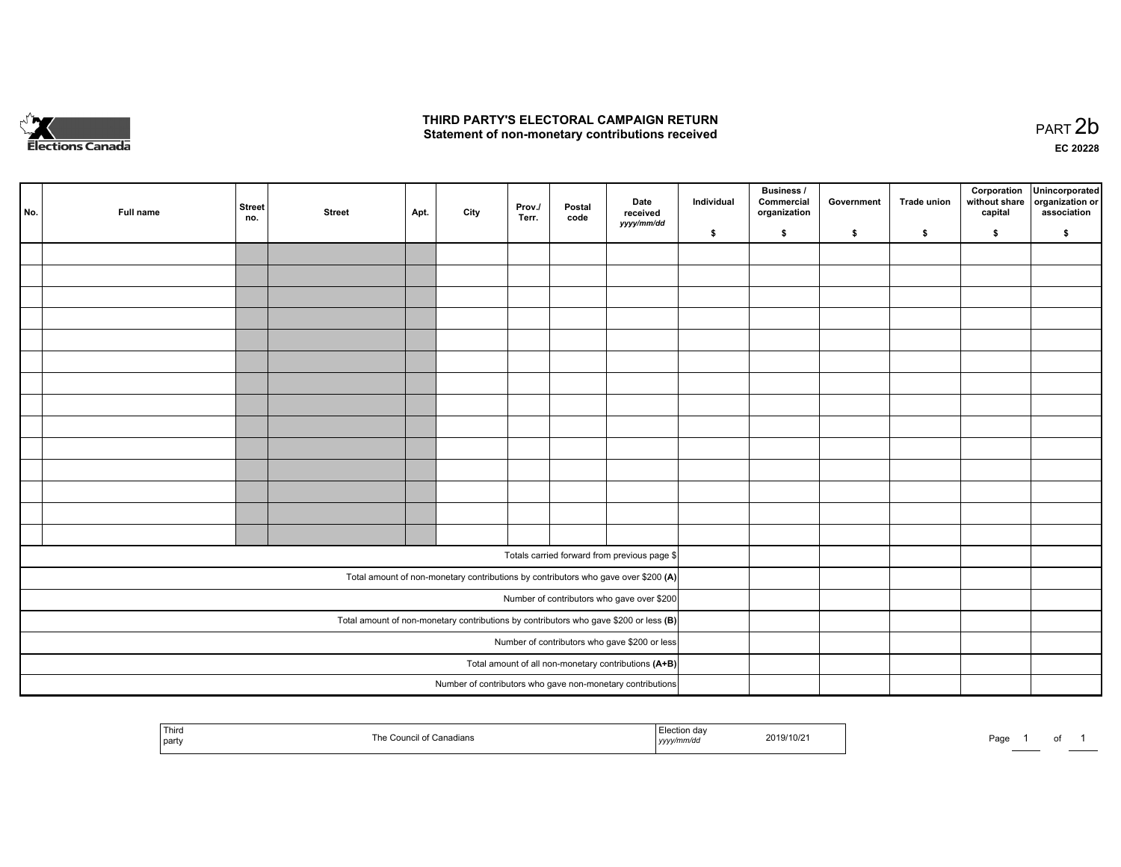

## **THIRD PARTY'S ELECTORAL CAMPAIGN RETURN**  THIRD PARTY'S ELECTORAL CAMPAIGN RETURN<br>Statement of non-monetary contributions received

| No. | Full name                                     | <b>Street</b><br>no. | <b>Street</b> | Apt. | City | Prov.<br>Terr. | Postal<br>code | Date<br>received<br>yyyy/mm/dd                                                          | Individual | <b>Business /</b><br>Commercial<br>organization | Government | Trade union | Corporation<br>without share<br>capital | Unincorporated<br>organization or<br>association |
|-----|-----------------------------------------------|----------------------|---------------|------|------|----------------|----------------|-----------------------------------------------------------------------------------------|------------|-------------------------------------------------|------------|-------------|-----------------------------------------|--------------------------------------------------|
|     |                                               |                      |               |      |      |                |                |                                                                                         | \$         | \$                                              | \$         | \$          | \$                                      | \$                                               |
|     |                                               |                      |               |      |      |                |                |                                                                                         |            |                                                 |            |             |                                         |                                                  |
|     |                                               |                      |               |      |      |                |                |                                                                                         |            |                                                 |            |             |                                         |                                                  |
|     |                                               |                      |               |      |      |                |                |                                                                                         |            |                                                 |            |             |                                         |                                                  |
|     |                                               |                      |               |      |      |                |                |                                                                                         |            |                                                 |            |             |                                         |                                                  |
|     |                                               |                      |               |      |      |                |                |                                                                                         |            |                                                 |            |             |                                         |                                                  |
|     |                                               |                      |               |      |      |                |                |                                                                                         |            |                                                 |            |             |                                         |                                                  |
|     |                                               |                      |               |      |      |                |                |                                                                                         |            |                                                 |            |             |                                         |                                                  |
|     |                                               |                      |               |      |      |                |                |                                                                                         |            |                                                 |            |             |                                         |                                                  |
|     |                                               |                      |               |      |      |                |                |                                                                                         |            |                                                 |            |             |                                         |                                                  |
|     |                                               |                      |               |      |      |                |                |                                                                                         |            |                                                 |            |             |                                         |                                                  |
|     |                                               |                      |               |      |      |                |                |                                                                                         |            |                                                 |            |             |                                         |                                                  |
|     |                                               |                      |               |      |      |                |                |                                                                                         |            |                                                 |            |             |                                         |                                                  |
|     |                                               |                      |               |      |      |                |                |                                                                                         |            |                                                 |            |             |                                         |                                                  |
|     |                                               |                      |               |      |      |                |                |                                                                                         |            |                                                 |            |             |                                         |                                                  |
|     |                                               |                      |               |      |      |                |                |                                                                                         |            |                                                 |            |             |                                         |                                                  |
|     |                                               |                      |               |      |      |                |                | Totals carried forward from previous page \$                                            |            |                                                 |            |             |                                         |                                                  |
|     |                                               |                      |               |      |      |                |                | Total amount of non-monetary contributions by contributors who gave over \$200 (A)      |            |                                                 |            |             |                                         |                                                  |
|     |                                               |                      |               |      |      |                |                | Number of contributors who gave over \$200                                              |            |                                                 |            |             |                                         |                                                  |
|     |                                               |                      |               |      |      |                |                | Total amount of non-monetary contributions by contributors who gave \$200 or less $(B)$ |            |                                                 |            |             |                                         |                                                  |
|     | Number of contributors who gave \$200 or less |                      |               |      |      |                |                |                                                                                         |            |                                                 |            |             |                                         |                                                  |
|     |                                               |                      |               |      |      |                |                | Total amount of all non-monetary contributions (A+B)                                    |            |                                                 |            |             |                                         |                                                  |
|     |                                               |                      |               |      |      |                |                | Number of contributors who gave non-monetary contributions                              |            |                                                 |            |             |                                         |                                                  |
|     |                                               |                      |               |      |      |                |                |                                                                                         |            |                                                 |            |             |                                         |                                                  |

| l Third<br>  party | : Council of Canadians.<br>™∩ | Election day<br>2019/10/21<br>  yyyy/mm/aa | Page |
|--------------------|-------------------------------|--------------------------------------------|------|
|--------------------|-------------------------------|--------------------------------------------|------|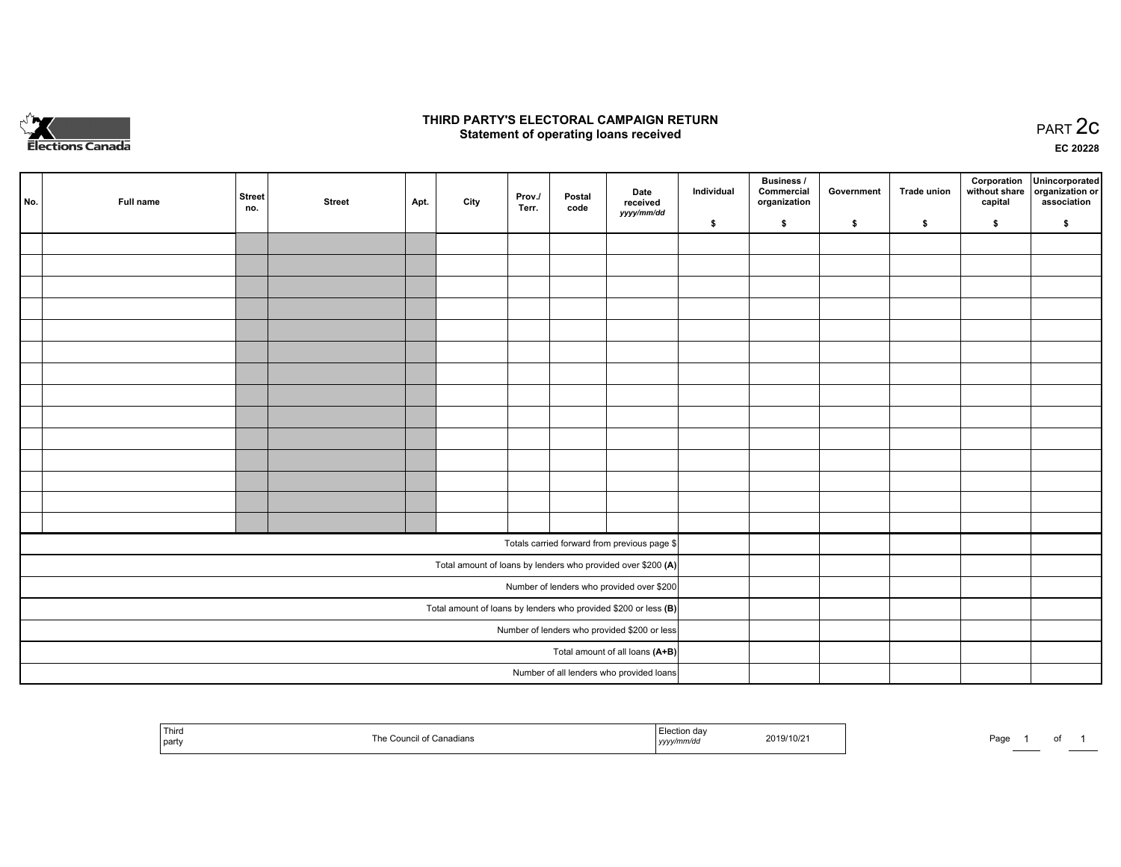

## **THIRD PARTY'S ELECTORAL CAMPAIGN RETURN STATE:** PRACT OF OPPRESS TO PART 2C STATE STATE STATE STATE STATE STATE STATE STATE STATE STATE STATE STATE STA<br>PART 2C Statement of operating loans received

**EC 20228**

| No. | Full name | <b>Street</b><br>no. | <b>Street</b> | Apt. | City | Prov./<br>Terr. | Postal<br>code | Date<br>received                                                | Individual | <b>Business /</b><br>Commercial<br>organization | Government | <b>Trade union</b> | Corporation<br>capital | Unincorporated<br>without share organization or<br>association |
|-----|-----------|----------------------|---------------|------|------|-----------------|----------------|-----------------------------------------------------------------|------------|-------------------------------------------------|------------|--------------------|------------------------|----------------------------------------------------------------|
|     |           |                      |               |      |      |                 |                | yyyy/mm/dd                                                      | \$         | \$                                              | \$         | \$                 | \$                     | \$                                                             |
|     |           |                      |               |      |      |                 |                |                                                                 |            |                                                 |            |                    |                        |                                                                |
|     |           |                      |               |      |      |                 |                |                                                                 |            |                                                 |            |                    |                        |                                                                |
|     |           |                      |               |      |      |                 |                |                                                                 |            |                                                 |            |                    |                        |                                                                |
|     |           |                      |               |      |      |                 |                |                                                                 |            |                                                 |            |                    |                        |                                                                |
|     |           |                      |               |      |      |                 |                |                                                                 |            |                                                 |            |                    |                        |                                                                |
|     |           |                      |               |      |      |                 |                |                                                                 |            |                                                 |            |                    |                        |                                                                |
|     |           |                      |               |      |      |                 |                |                                                                 |            |                                                 |            |                    |                        |                                                                |
|     |           |                      |               |      |      |                 |                |                                                                 |            |                                                 |            |                    |                        |                                                                |
|     |           |                      |               |      |      |                 |                |                                                                 |            |                                                 |            |                    |                        |                                                                |
|     |           |                      |               |      |      |                 |                |                                                                 |            |                                                 |            |                    |                        |                                                                |
|     |           |                      |               |      |      |                 |                |                                                                 |            |                                                 |            |                    |                        |                                                                |
|     |           |                      |               |      |      |                 |                |                                                                 |            |                                                 |            |                    |                        |                                                                |
|     |           |                      |               |      |      |                 |                |                                                                 |            |                                                 |            |                    |                        |                                                                |
|     |           |                      |               |      |      |                 |                |                                                                 |            |                                                 |            |                    |                        |                                                                |
|     |           |                      |               |      |      |                 |                | Totals carried forward from previous page \$                    |            |                                                 |            |                    |                        |                                                                |
|     |           |                      |               |      |      |                 |                | Total amount of loans by lenders who provided over \$200 (A)    |            |                                                 |            |                    |                        |                                                                |
|     |           |                      |               |      |      |                 |                | Number of lenders who provided over \$200                       |            |                                                 |            |                    |                        |                                                                |
|     |           |                      |               |      |      |                 |                | Total amount of loans by lenders who provided \$200 or less (B) |            |                                                 |            |                    |                        |                                                                |
|     |           |                      |               |      |      |                 |                | Number of lenders who provided \$200 or less                    |            |                                                 |            |                    |                        |                                                                |
|     |           |                      |               |      |      |                 |                | Total amount of all loans (A+B)                                 |            |                                                 |            |                    |                        |                                                                |
|     |           |                      |               |      |      |                 |                | Number of all lenders who provided loans                        |            |                                                 |            |                    |                        |                                                                |

| Third<br>  party | The<br>of Canadians<br>Council: | 2019/10/2<br>y/mmvuc<br>, , , , , | Do.<br>au: |
|------------------|---------------------------------|-----------------------------------|------------|
|------------------|---------------------------------|-----------------------------------|------------|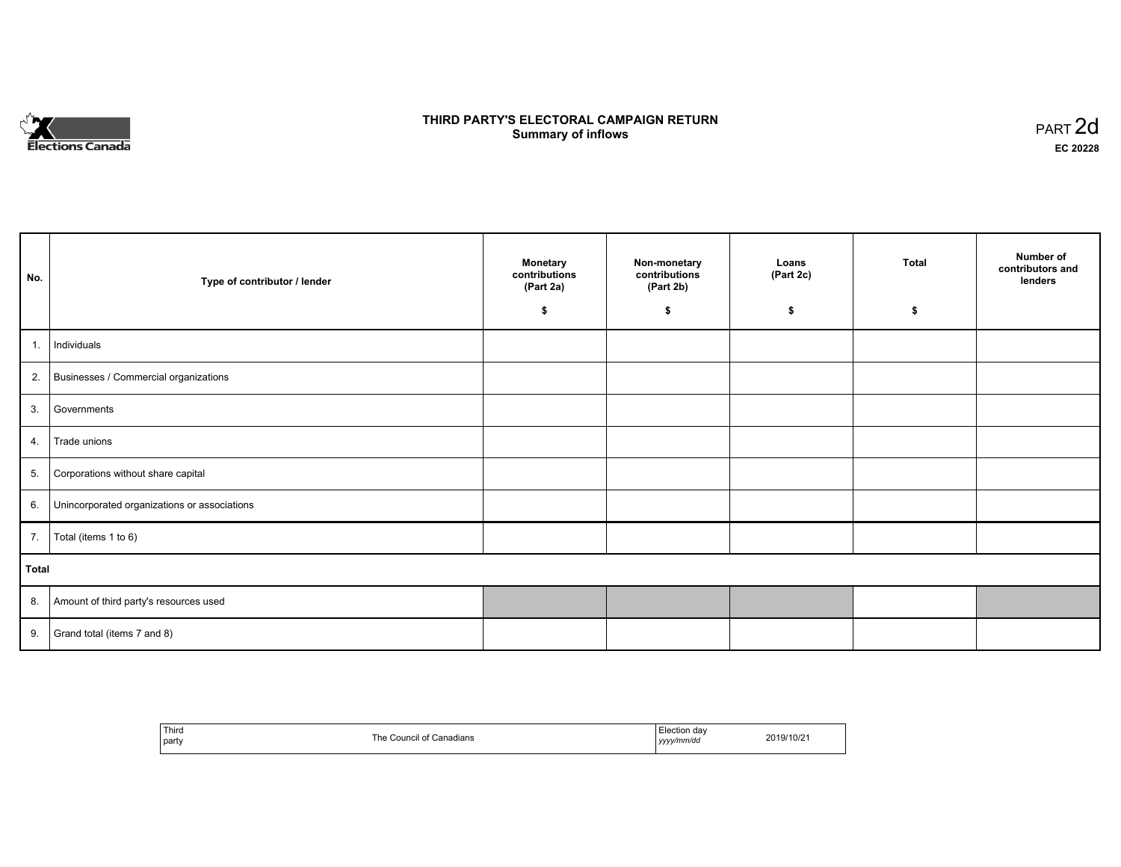

## **THIRD PARTY'S ELECTORAL CAMPAIGN RETURN S** ELECTORAL CAMPAIGN RETURN<br>Summary of inflows PART 2d

| No.   | Type of contributor / lender                    | <b>Monetary</b><br>contributions<br>(Part 2a) | Non-monetary<br>contributions<br>(Part 2b) | Loans<br>(Part 2c) | <b>Total</b> | Number of<br>contributors and<br>lenders |
|-------|-------------------------------------------------|-----------------------------------------------|--------------------------------------------|--------------------|--------------|------------------------------------------|
|       |                                                 | \$                                            | \$                                         | \$                 | \$           |                                          |
| 1.    | Individuals                                     |                                               |                                            |                    |              |                                          |
|       | 2. Businesses / Commercial organizations        |                                               |                                            |                    |              |                                          |
| 3.    | Governments                                     |                                               |                                            |                    |              |                                          |
|       | 4. Trade unions                                 |                                               |                                            |                    |              |                                          |
| 5.    | Corporations without share capital              |                                               |                                            |                    |              |                                          |
|       | 6. Unincorporated organizations or associations |                                               |                                            |                    |              |                                          |
|       | 7.   Total (items 1 to 6)                       |                                               |                                            |                    |              |                                          |
| Total |                                                 |                                               |                                            |                    |              |                                          |
|       | 8. Amount of third party's resources used       |                                               |                                            |                    |              |                                          |
|       | 9. Grand total (items $7$ and $8$ )             |                                               |                                            |                    |              |                                          |

| `Third<br>the contract of the contract of<br>  party | The Council of Canadians | Election day<br>  yyyy/mm/dd | 2019/10/21 |
|------------------------------------------------------|--------------------------|------------------------------|------------|
|------------------------------------------------------|--------------------------|------------------------------|------------|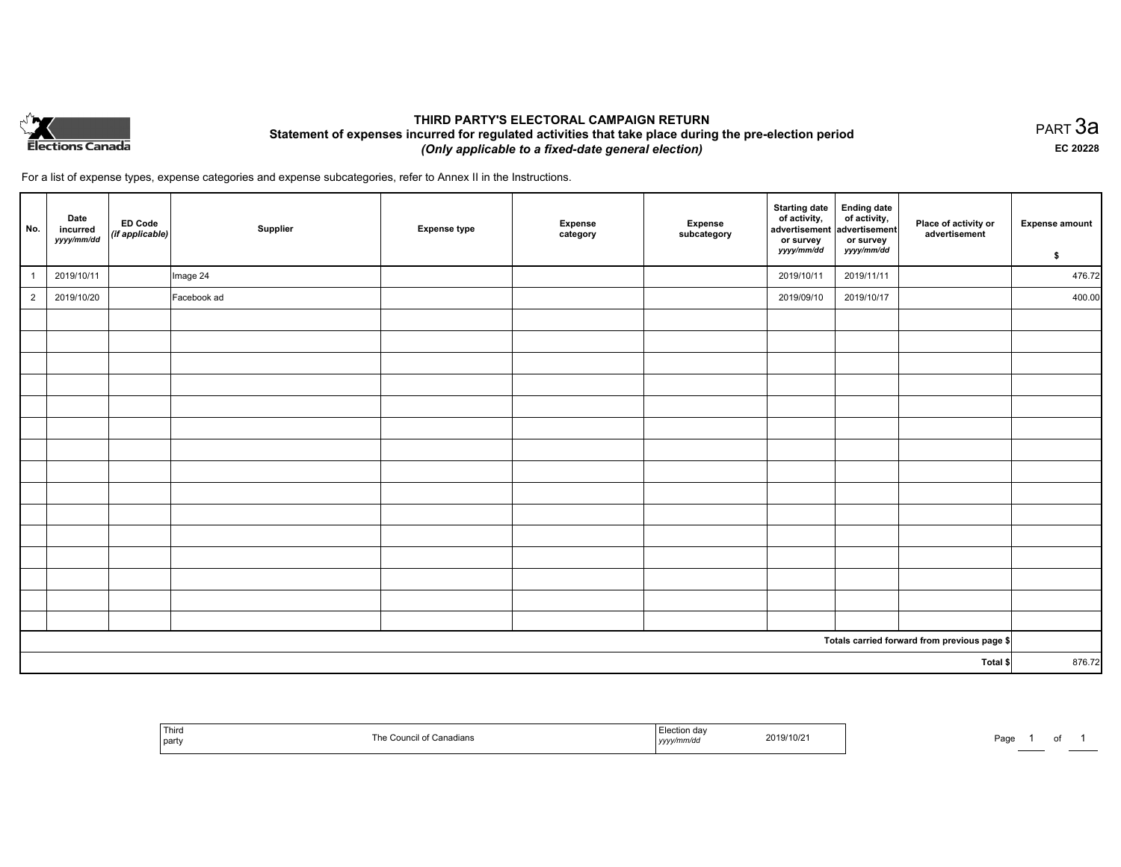

## **THIRD PARTY'S ELECTORAL CAMPAIGN RETURN Statement of expenses incurred for regulated activities that take place during the pre-election period**  *(Only applicable to a fixed-date general election)*

PART 3a **EC 20228**

For a list of expense types, expense categories and expense subcategories, refer to Annex II in the Instructions.

| No.                                          | Date<br>incurred<br>yyyy/mm/dd | ED Code<br>(if applicable) | Supplier    | <b>Expense type</b> | <b>Expense</b><br>category | Expense<br>subcategory | <b>Starting date</b><br>of activity,<br>advertisement<br>or survey<br>yyyy/mm/dd | Ending date<br>of activity,<br>advertisement<br>or survey<br>yyyy/mm/dd | Place of activity or<br>advertisement | <b>Expense amount</b> |
|----------------------------------------------|--------------------------------|----------------------------|-------------|---------------------|----------------------------|------------------------|----------------------------------------------------------------------------------|-------------------------------------------------------------------------|---------------------------------------|-----------------------|
|                                              |                                |                            |             |                     |                            |                        |                                                                                  |                                                                         |                                       | \$                    |
| $\overline{1}$                               | 2019/10/11                     |                            | Image 24    |                     |                            |                        | 2019/10/11                                                                       | 2019/11/11                                                              |                                       | 476.72                |
| $\overline{2}$                               | 2019/10/20                     |                            | Facebook ad |                     |                            |                        | 2019/09/10                                                                       | 2019/10/17                                                              |                                       | 400.00                |
|                                              |                                |                            |             |                     |                            |                        |                                                                                  |                                                                         |                                       |                       |
|                                              |                                |                            |             |                     |                            |                        |                                                                                  |                                                                         |                                       |                       |
|                                              |                                |                            |             |                     |                            |                        |                                                                                  |                                                                         |                                       |                       |
|                                              |                                |                            |             |                     |                            |                        |                                                                                  |                                                                         |                                       |                       |
|                                              |                                |                            |             |                     |                            |                        |                                                                                  |                                                                         |                                       |                       |
|                                              |                                |                            |             |                     |                            |                        |                                                                                  |                                                                         |                                       |                       |
|                                              |                                |                            |             |                     |                            |                        |                                                                                  |                                                                         |                                       |                       |
|                                              |                                |                            |             |                     |                            |                        |                                                                                  |                                                                         |                                       |                       |
|                                              |                                |                            |             |                     |                            |                        |                                                                                  |                                                                         |                                       |                       |
|                                              |                                |                            |             |                     |                            |                        |                                                                                  |                                                                         |                                       |                       |
|                                              |                                |                            |             |                     |                            |                        |                                                                                  |                                                                         |                                       |                       |
|                                              |                                |                            |             |                     |                            |                        |                                                                                  |                                                                         |                                       |                       |
|                                              |                                |                            |             |                     |                            |                        |                                                                                  |                                                                         |                                       |                       |
|                                              |                                |                            |             |                     |                            |                        |                                                                                  |                                                                         |                                       |                       |
|                                              |                                |                            |             |                     |                            |                        |                                                                                  |                                                                         |                                       |                       |
| Totals carried forward from previous page \$ |                                |                            |             |                     |                            |                        |                                                                                  |                                                                         |                                       |                       |
| Total \$                                     |                                |                            |             |                     |                            | 876.72                 |                                                                                  |                                                                         |                                       |                       |

| ---<br>Third<br>party | dians<br>.7117 | clootie:<br>2019/10/2 <sup>.</sup><br>yyyyuuuv | Page |
|-----------------------|----------------|------------------------------------------------|------|
|-----------------------|----------------|------------------------------------------------|------|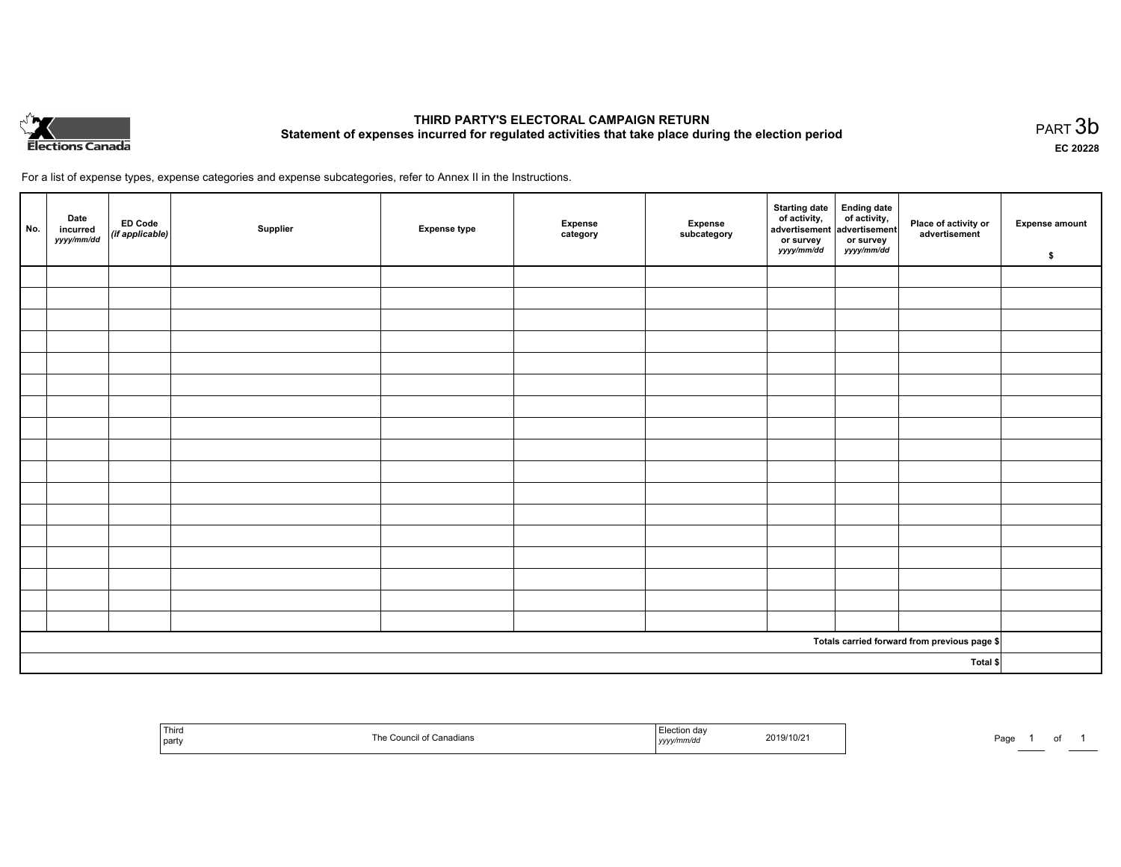

# **THIRD PARTY'S ELECTORAL CAMPAIGN RETURN Statement of expenses incurred for regulated activities that take place during the election period**<br>PART  $3\mathsf{b}$

**EC 20228**

For a list of expense types, expense categories and expense subcategories, refer to Annex II in the Instructions.

| No.      | Date<br>incurred<br>yyyy/mm/dd | ED Code<br>(if applicable) | Supplier | <b>Expense type</b> | Expense<br>category | Expense<br>subcategory | Starting date Ending date<br>of activity, of activity,<br>advertisement advertisement<br>or survey<br>yyyy/mm/dd | or survey<br>yyyy/mm/dd | Place of activity or<br>advertisement        | <b>Expense amount</b><br>\$ |
|----------|--------------------------------|----------------------------|----------|---------------------|---------------------|------------------------|------------------------------------------------------------------------------------------------------------------|-------------------------|----------------------------------------------|-----------------------------|
|          |                                |                            |          |                     |                     |                        |                                                                                                                  |                         |                                              |                             |
|          |                                |                            |          |                     |                     |                        |                                                                                                                  |                         |                                              |                             |
|          |                                |                            |          |                     |                     |                        |                                                                                                                  |                         |                                              |                             |
|          |                                |                            |          |                     |                     |                        |                                                                                                                  |                         |                                              |                             |
|          |                                |                            |          |                     |                     |                        |                                                                                                                  |                         |                                              |                             |
|          |                                |                            |          |                     |                     |                        |                                                                                                                  |                         |                                              |                             |
|          |                                |                            |          |                     |                     |                        |                                                                                                                  |                         |                                              |                             |
|          |                                |                            |          |                     |                     |                        |                                                                                                                  |                         |                                              |                             |
|          |                                |                            |          |                     |                     |                        |                                                                                                                  |                         |                                              |                             |
|          |                                |                            |          |                     |                     |                        |                                                                                                                  |                         |                                              |                             |
|          |                                |                            |          |                     |                     |                        |                                                                                                                  |                         |                                              |                             |
|          |                                |                            |          |                     |                     |                        |                                                                                                                  |                         |                                              |                             |
|          |                                |                            |          |                     |                     |                        |                                                                                                                  |                         |                                              |                             |
|          |                                |                            |          |                     |                     |                        |                                                                                                                  |                         |                                              |                             |
|          |                                |                            |          |                     |                     |                        |                                                                                                                  |                         |                                              |                             |
|          |                                |                            |          |                     |                     |                        |                                                                                                                  |                         |                                              |                             |
|          |                                |                            |          |                     |                     |                        |                                                                                                                  |                         |                                              |                             |
|          |                                |                            |          |                     |                     |                        |                                                                                                                  |                         | Totals carried forward from previous page \$ |                             |
| Total \$ |                                |                            |          |                     |                     |                        |                                                                                                                  |                         |                                              |                             |

| Third<br>cil of Canadians.<br>⊑คค<br>  party | Election dav<br>2019/10/21<br>,,,,,,,<br>, <i>y y y .</i> | Page |
|----------------------------------------------|-----------------------------------------------------------|------|
|----------------------------------------------|-----------------------------------------------------------|------|